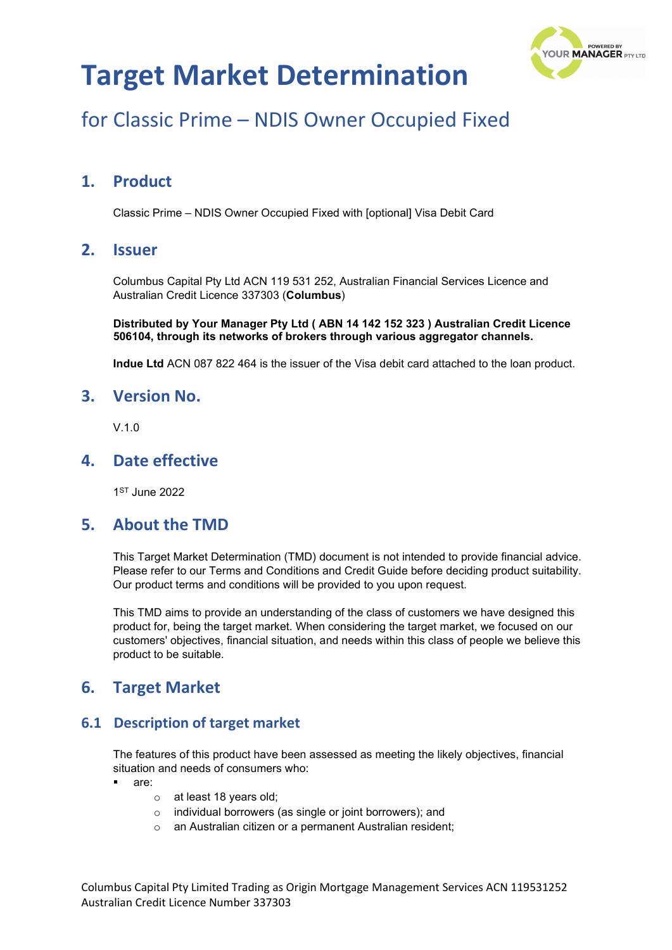

## for Classic Prime – NDIS Owner Occupied Fixed

### **1. Product**

Classic Prime – NDIS Owner Occupied Fixed with [optional] Visa Debit Card

### **2. Issuer**

Columbus Capital Pty Ltd ACN 119 531 252, Australian Financial Services Licence and Australian Credit Licence 337303 (**Columbus**)

**Distributed by Your Manager Pty Ltd ( ABN 14 142 152 323 ) Australian Credit Licence 506104, through its networks of brokers through various aggregator channels.**

**Indue Ltd** ACN 087 822 464 is the issuer of the Visa debit card attached to the loan product.

#### **3. Version No.**

V.1.0

### **4. Date effective**

1ST June 2022

### **5. About the TMD**

This Target Market Determination (TMD) document is not intended to provide financial advice. Please refer to our Terms and Conditions and Credit Guide before deciding product suitability. Our product terms and conditions will be provided to you upon request.

This TMD aims to provide an understanding of the class of customers we have designed this product for, being the target market. When considering the target market, we focused on our customers' objectives, financial situation, and needs within this class of people we believe this product to be suitable.

### **6. Target Market**

#### **6.1 Description of target market**

The features of this product have been assessed as meeting the likely objectives, financial situation and needs of consumers who:

- are:
	- o at least 18 years old;
	- o individual borrowers (as single or joint borrowers); and
	- o an Australian citizen or a permanent Australian resident;

Columbus Capital Pty Limited Trading as Origin Mortgage Management Services ACN 119531252 Australian Credit Licence Number 337303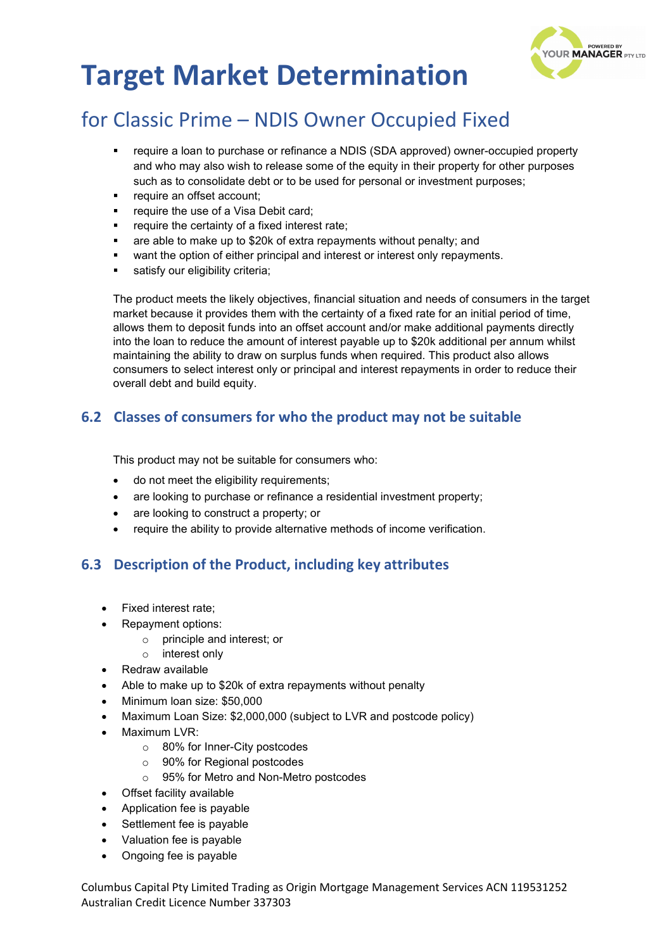

### for Classic Prime – NDIS Owner Occupied Fixed

- require a loan to purchase or refinance a NDIS (SDA approved) owner-occupied property and who may also wish to release some of the equity in their property for other purposes such as to consolidate debt or to be used for personal or investment purposes;
- require an offset account;
- require the use of a Visa Debit card;
- require the certainty of a fixed interest rate;
- are able to make up to \$20k of extra repayments without penalty; and
- want the option of either principal and interest or interest only repayments.
- satisfy our eligibility criteria:

The product meets the likely objectives, financial situation and needs of consumers in the target market because it provides them with the certainty of a fixed rate for an initial period of time, allows them to deposit funds into an offset account and/or make additional payments directly into the loan to reduce the amount of interest payable up to \$20k additional per annum whilst maintaining the ability to draw on surplus funds when required. This product also allows consumers to select interest only or principal and interest repayments in order to reduce their overall debt and build equity.

#### **6.2 Classes of consumers for who the product may not be suitable**

This product may not be suitable for consumers who:

- do not meet the eligibility requirements;
- are looking to purchase or refinance a residential investment property;
- are looking to construct a property; or
- require the ability to provide alternative methods of income verification.

#### **6.3 Description of the Product, including key attributes**

- Fixed interest rate;
- Repayment options:
	- principle and interest; or
	- o interest only
- Redraw available
- Able to make up to \$20k of extra repayments without penalty
- Minimum loan size: \$50,000
- Maximum Loan Size: \$2,000,000 (subject to LVR and postcode policy)
- Maximum LVR:
	- o 80% for Inner-City postcodes
	- o 90% for Regional postcodes
	- o 95% for Metro and Non-Metro postcodes
- Offset facility available
- Application fee is payable
- Settlement fee is payable
- Valuation fee is payable
- Ongoing fee is payable

Columbus Capital Pty Limited Trading as Origin Mortgage Management Services ACN 119531252 Australian Credit Licence Number 337303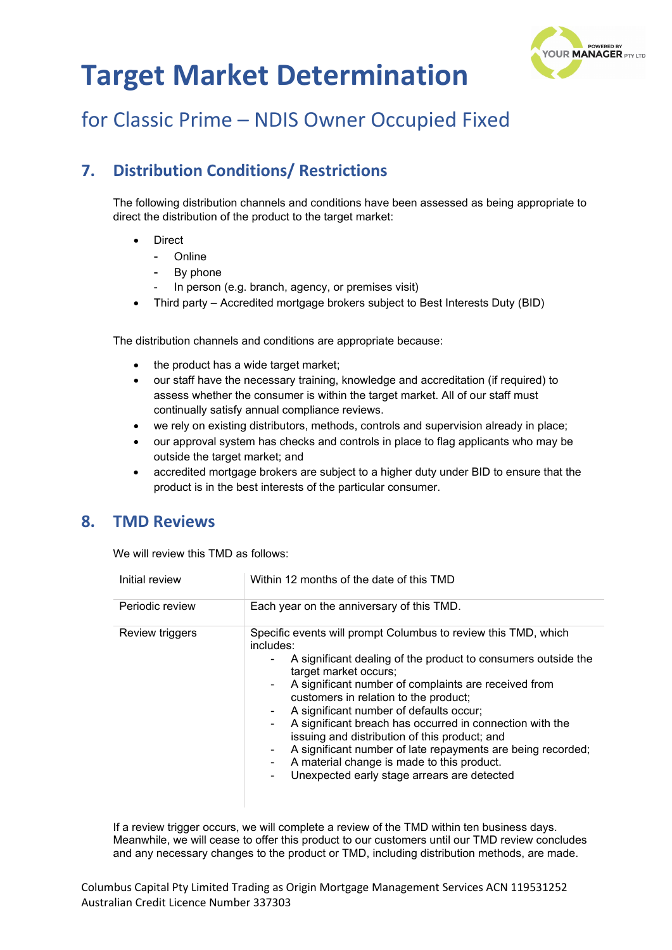

## for Classic Prime – NDIS Owner Occupied Fixed

### **7. Distribution Conditions/ Restrictions**

The following distribution channels and conditions have been assessed as being appropriate to direct the distribution of the product to the target market:

- **Direct** 
	- Online
	- By phone
	- In person (e.g. branch, agency, or premises visit)
- Third party Accredited mortgage brokers subject to Best Interests Duty (BID)

The distribution channels and conditions are appropriate because:

- the product has a wide target market;
- our staff have the necessary training, knowledge and accreditation (if required) to assess whether the consumer is within the target market. All of our staff must continually satisfy annual compliance reviews.
- we rely on existing distributors, methods, controls and supervision already in place;
- our approval system has checks and controls in place to flag applicants who may be outside the target market; and
- accredited mortgage brokers are subject to a higher duty under BID to ensure that the product is in the best interests of the particular consumer.

### **8. TMD Reviews**

We will review this TMD as follows:

| Initial review  | Within 12 months of the date of this TMD                                                                                                                                                                                                                                                                                                                                                                                                                                                                                                                                                        |  |
|-----------------|-------------------------------------------------------------------------------------------------------------------------------------------------------------------------------------------------------------------------------------------------------------------------------------------------------------------------------------------------------------------------------------------------------------------------------------------------------------------------------------------------------------------------------------------------------------------------------------------------|--|
| Periodic review | Each year on the anniversary of this TMD.                                                                                                                                                                                                                                                                                                                                                                                                                                                                                                                                                       |  |
| Review triggers | Specific events will prompt Columbus to review this TMD, which<br>includes:<br>A significant dealing of the product to consumers outside the<br>target market occurs;<br>A significant number of complaints are received from<br>customers in relation to the product;<br>A significant number of defaults occur;<br>A significant breach has occurred in connection with the<br>issuing and distribution of this product; and<br>A significant number of late repayments are being recorded;<br>A material change is made to this product.<br>Unexpected early stage arrears are detected<br>۰ |  |

If a review trigger occurs, we will complete a review of the TMD within ten business days. Meanwhile, we will cease to offer this product to our customers until our TMD review concludes and any necessary changes to the product or TMD, including distribution methods, are made.